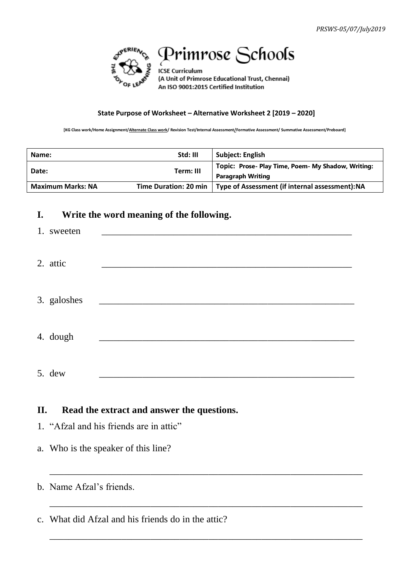

## Primrose Schools

**ICSE Curriculum** (A Unit of Primrose Educational Trust, Chennai) An ISO 9001:2015 Certified Institution

## **State Purpose of Worksheet – Alternative Worksheet 2 [2019 – 2020]**

**[KG Class work/Home Assignment/Alternate Class work/ Revision Test/Internal Assessment/Formative Assessment/ Summative Assessment/Preboard]**

| Name:                    | Std: III  | <b>Subject: English</b>                                                        |
|--------------------------|-----------|--------------------------------------------------------------------------------|
| Date:                    | Term: III | Topic: Prose- Play Time, Poem- My Shadow, Writing:<br><b>Paragraph Writing</b> |
| <b>Maximum Marks: NA</b> |           | Time Duration: 20 min   Type of Assessment (if internal assessment): NA        |

## **I. Write the word meaning of the following.**

| 1. sweeten  |  |
|-------------|--|
| 2. attic    |  |
| 3. galoshes |  |
| 4. dough    |  |
| 5. dew      |  |

\_\_\_\_\_\_\_\_\_\_\_\_\_\_\_\_\_\_\_\_\_\_\_\_\_\_\_\_\_\_\_\_\_\_\_\_\_\_\_\_\_\_\_\_\_\_\_\_\_\_\_\_\_\_\_\_\_\_\_\_\_\_\_\_\_

\_\_\_\_\_\_\_\_\_\_\_\_\_\_\_\_\_\_\_\_\_\_\_\_\_\_\_\_\_\_\_\_\_\_\_\_\_\_\_\_\_\_\_\_\_\_\_\_\_\_\_\_\_\_\_\_\_\_\_\_\_\_\_\_\_

\_\_\_\_\_\_\_\_\_\_\_\_\_\_\_\_\_\_\_\_\_\_\_\_\_\_\_\_\_\_\_\_\_\_\_\_\_\_\_\_\_\_\_\_\_\_\_\_\_\_\_\_\_\_\_\_\_\_\_\_\_\_\_\_\_

## **II. Read the extract and answer the questions.**

- 1. "Afzal and his friends are in attic"
- a. Who is the speaker of this line?
- b. Name Afzal's friends.

c. What did Afzal and his friends do in the attic?